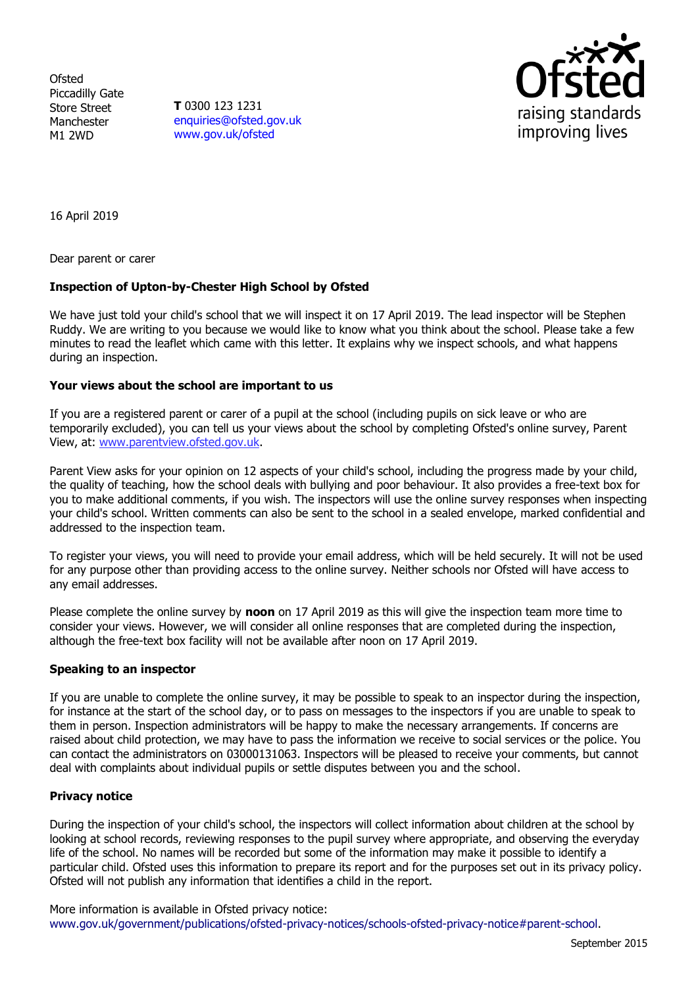**Ofsted** Piccadilly Gate Store Street Manchester M1 2WD

**T** 0300 123 1231 [enquiries@ofsted.gov.uk](mailto:enquiries@ofsted.gov.uk) [www.gov.uk/ofsted](http://www.gov.uk/ofsted)



16 April 2019

Dear parent or carer

# **Inspection of Upton-by-Chester High School by Ofsted**

We have just told your child's school that we will inspect it on 17 April 2019. The lead inspector will be Stephen Ruddy. We are writing to you because we would like to know what you think about the school. Please take a few minutes to read the leaflet which came with this letter. It explains why we inspect schools, and what happens during an inspection.

## **Your views about the school are important to us**

If you are a registered parent or carer of a pupil at the school (including pupils on sick leave or who are temporarily excluded), you can tell us your views about the school by completing Ofsted's online survey, Parent View, at: [www.parentview.ofsted.gov.uk.](http://www.parentview.ofsted.gov.uk/)

Parent View asks for your opinion on 12 aspects of your child's school, including the progress made by your child, the quality of teaching, how the school deals with bullying and poor behaviour. It also provides a free-text box for you to make additional comments, if you wish. The inspectors will use the online survey responses when inspecting your child's school. Written comments can also be sent to the school in a sealed envelope, marked confidential and addressed to the inspection team.

To register your views, you will need to provide your email address, which will be held securely. It will not be used for any purpose other than providing access to the online survey. Neither schools nor Ofsted will have access to any email addresses.

Please complete the online survey by **noon** on 17 April 2019 as this will give the inspection team more time to consider your views. However, we will consider all online responses that are completed during the inspection, although the free-text box facility will not be available after noon on 17 April 2019.

#### **Speaking to an inspector**

If you are unable to complete the online survey, it may be possible to speak to an inspector during the inspection, for instance at the start of the school day, or to pass on messages to the inspectors if you are unable to speak to them in person. Inspection administrators will be happy to make the necessary arrangements. If concerns are raised about child protection, we may have to pass the information we receive to social services or the police. You can contact the administrators on 03000131063. Inspectors will be pleased to receive your comments, but cannot deal with complaints about individual pupils or settle disputes between you and the school.

## **Privacy notice**

During the inspection of your child's school, the inspectors will collect information about children at the school by looking at school records, reviewing responses to the pupil survey where appropriate, and observing the everyday life of the school. No names will be recorded but some of the information may make it possible to identify a particular child. Ofsted uses this information to prepare its report and for the purposes set out in its privacy policy. Ofsted will not publish any information that identifies a child in the report.

More information is available in Ofsted privacy notice: [www.gov.uk/government/publications/ofsted-privacy-notices/schools-ofsted-privacy-notice#parent-school.](http://www.gov.uk/government/publications/ofsted-privacy-notices/schools-ofsted-privacy-notice#parent-school)